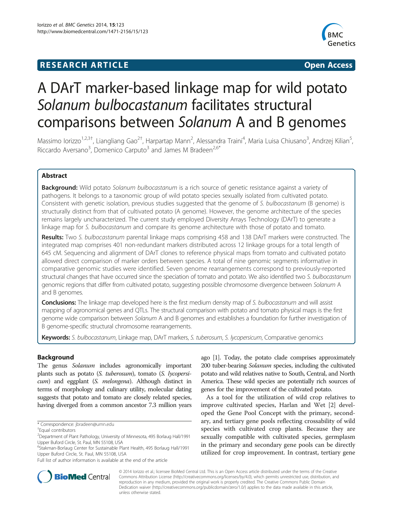# **RESEARCH ARTICLE Example 2014 CONSIDERING CONSIDERING CONSIDERING CONSIDERING CONSIDERING CONSIDERING CONSIDERING CONSIDERING CONSIDERING CONSIDERING CONSIDERING CONSIDERING CONSIDERING CONSIDERING CONSIDERING CONSIDE**



# A DArT marker-based linkage map for wild potato Solanum bulbocastanum facilitates structural comparisons between Solanum A and B genomes

Massimo Iorizzo<sup>1,2,3†</sup>, Liangliang Gao<sup>2†</sup>, Harpartap Mann<sup>2</sup>, Alessandra Traini<sup>4</sup>, Maria Luisa Chiusano<sup>3</sup>, Andrzej Kilian<sup>5</sup> , Riccardo Aversano<sup>3</sup>, Domenico Carputo<sup>3</sup> and James M Bradeen<sup>2,6\*</sup>

# Abstract

Background: Wild potato Solanum bulbocastanum is a rich source of genetic resistance against a variety of pathogens. It belongs to a taxonomic group of wild potato species sexually isolated from cultivated potato. Consistent with genetic isolation, previous studies suggested that the genome of S. bulbocastanum (B genome) is structurally distinct from that of cultivated potato (A genome). However, the genome architecture of the species remains largely uncharacterized. The current study employed Diversity Arrays Technology (DArT) to generate a linkage map for S. bulbocastanum and compare its genome architecture with those of potato and tomato.

Results: Two S. bulbocastanum parental linkage maps comprising 458 and 138 DArT markers were constructed. The integrated map comprises 401 non-redundant markers distributed across 12 linkage groups for a total length of 645 cM. Sequencing and alignment of DArT clones to reference physical maps from tomato and cultivated potato allowed direct comparison of marker orders between species. A total of nine genomic segments informative in comparative genomic studies were identified. Seven genome rearrangements correspond to previously-reported structural changes that have occurred since the speciation of tomato and potato. We also identified two S. bulbocastanum genomic regions that differ from cultivated potato, suggesting possible chromosome divergence between Solanum A and B genomes.

**Conclusions:** The linkage map developed here is the first medium density map of S. bulbocastanum and will assist mapping of agronomical genes and QTLs. The structural comparison with potato and tomato physical maps is the first genome wide comparison between Solanum A and B genomes and establishes a foundation for further investigation of B genome-specific structural chromosome rearrangements.

Keywords: S. bulbocastanum, Linkage map, DArT markers, S. tuberosum, S. lycopersicum, Comparative genomics

# Background

The genus Solanum includes agronomically important plants such as potato (S. tuberosum), tomato (S. lycopersicum) and eggplant (S. melongena). Although distinct in terms of morphology and culinary utility, molecular dating suggests that potato and tomato are closely related species, having diverged from a common ancestor 7.3 million years

ago [[1](#page-6-0)]. Today, the potato clade comprises approximately 200 tuber-bearing Solanum species, including the cultivated potato and wild relatives native to South, Central, and North America. These wild species are potentially rich sources of genes for the improvement of the cultivated potato.

As a tool for the utilization of wild crop relatives to improve cultivated species, Harlan and Wet [\[2\]](#page-6-0) developed the Gene Pool Concept with the primary, secondary, and tertiary gene pools reflecting crossability of wild species with cultivated crop plants. Because they are sexually compatible with cultivated species, germplasm in the primary and secondary gene pools can be directly utilized for crop improvement. In contrast, tertiary gene



© 2014 Iorizzo et al.; licensee BioMed Central Ltd. This is an Open Access article distributed under the terms of the Creative Commons Attribution License [\(http://creativecommons.org/licenses/by/4.0\)](http://creativecommons.org/licenses/by/4.0), which permits unrestricted use, distribution, and reproduction in any medium, provided the original work is properly credited. The Creative Commons Public Domain Dedication waiver [\(http://creativecommons.org/publicdomain/zero/1.0/](http://creativecommons.org/publicdomain/zero/1.0/)) applies to the data made available in this article, unless otherwise stated.

<sup>\*</sup> Correspondence: [jbradeen@umn.edu](mailto:jbradeen@umn.edu) †

Equal contributors

<sup>2</sup> Department of Plant Pathology, University of Minnesota, 495 Borlaug Hall/1991 Upper Buford Circle, St. Paul, MN 55108, USA

<sup>&</sup>lt;sup>6</sup>Stakman-Borlaug Center for Sustainable Plant Health, 495 Borlaug Hall/1991 Upper Buford Circle, St. Paul, MN 55108, USA

Full list of author information is available at the end of the article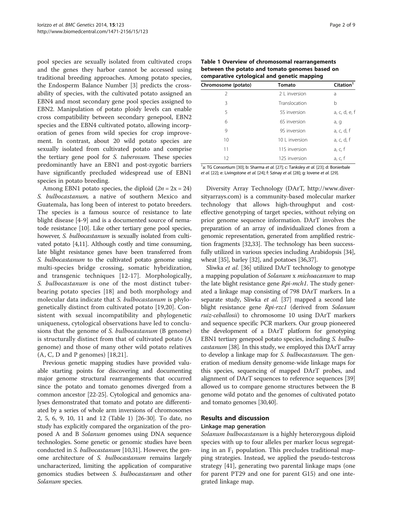<span id="page-1-0"></span>pool species are sexually isolated from cultivated crops and the genes they harbor cannot be accessed using traditional breeding approaches. Among potato species, the Endosperm Balance Number [[3\]](#page-6-0) predicts the crossability of species, with the cultivated potato assigned an EBN4 and most secondary gene pool species assigned to EBN2. Manipulation of potato ploidy levels can enable cross compatibility between secondary genepool, EBN2 species and the EBN4 cultivated potato, allowing incorporation of genes from wild species for crop improvement. In contrast, about 20 wild potato species are sexually isolated from cultivated potato and comprise the tertiary gene pool for S. tuberosum. These species predominantly have an EBN1 and post-zygotic barriers have significantly precluded widespread use of EBN1 species in potato breeding.

Among EBN1 potato species, the diploid  $(2n = 2x = 24)$ S. bulbocastanum, a native of southern Mexico and Guatemala, has long been of interest to potato breeders. The species is a famous source of resistance to late blight disease [[4-9\]](#page-6-0) and is a documented source of nematode resistance [[10](#page-7-0)]. Like other tertiary gene pool species, however, S. bulbocastanum is sexually isolated from cultivated potato [\[4,](#page-6-0)[11](#page-7-0)]. Although costly and time consuming, late blight resistance genes have been transferred from S. bulbocastanum to the cultivated potato genome using multi-species bridge crossing, somatic hybridization, and transgenic techniques [[12-17\]](#page-7-0). Morphologically, S. bulbocastanum is one of the most distinct tuberbearing potato species [[18\]](#page-7-0) and both morphology and molecular data indicate that S. bulbocastanum is phylogenetically distinct from cultivated potato [[19,20\]](#page-7-0). Consistent with sexual incompatibility and phylogenetic uniqueness, cytological observations have led to conclusions that the genome of S. bulbocastanum (B genome) is structurally distinct from that of cultivated potato (A genome) and those of many other wild potato relatives (A, C, D and P genomes) [[18,21](#page-7-0)].

Previous genetic mapping studies have provided valuable starting points for discovering and documenting major genome structural rearrangements that occurred since the potato and tomato genomes diverged from a common ancestor [\[22](#page-7-0)-[25](#page-7-0)]. Cytological and genomics analyses demonstrated that tomato and potato are differentiated by a series of whole arm inversions of chromosomes 2, 5, 6, 9, 10, 11 and 12 (Table 1) [\[26-30\]](#page-7-0). To date, no study has explicitly compared the organization of the proposed A and B Solanum genomes using DNA sequence technologies. Some genetic or genomic studies have been conducted in *S. bulbocastanum* [\[10,31\]](#page-7-0). However, the genome architecture of S. bulbocastanum remains largely uncharacterized, limiting the application of comparative genomics studies between S. bulbocastanum and other Solanum species.

| Table 1 Overview of chromosomal rearrangements |
|------------------------------------------------|
| between the potato and tomato genomes based on |
| comparative cytological and genetic mapping    |

| Chromosome (potato) | <b>Tomato</b>  | Citation <sup>1</sup> |
|---------------------|----------------|-----------------------|
| $\mathcal{P}$       | 2 L inversion  | a                     |
| 3                   | Translocation  | b                     |
| 5                   | 5S inversion   | a, c, d, e, f         |
| 6                   | 6S inversion   | a, g                  |
| 9                   | 9S inversion   | a, c, d, f            |
| 10                  | 10   inversion | a, c, d, f            |
| 11                  | 11S inversion  | a, c, f               |
| 12                  | 12S inversion  | a, c, f               |

<sup>1</sup>a: TG Consortium [\[30](#page-7-0)]; b: Sharma et al. [[27\]](#page-7-0); c: Tanksley et al. [\[23](#page-7-0)]; d: Bonierbale et al. [[22\]](#page-7-0); e: Livingstone et al. [\[24](#page-7-0)]; f: Szinay et al. [\[28](#page-7-0)]; g: Iovene et al. [\[29](#page-7-0)].

Diversity Array Technology (DArT, [http://www.diver](http://www.diversityarrays.com)[sityarrays.com\)](http://www.diversityarrays.com) is a community-based molecular marker technology that allows high-throughput and costeffective genotyping of target species, without relying on prior genome sequence information. DArT involves the preparation of an array of individualized clones from a genomic representation, generated from amplified restriction fragments [\[32,33\]](#page-7-0). The technology has been successfully utilized in various species including Arabidopsis [[34](#page-7-0)], wheat [\[35\]](#page-7-0), barley [\[32\]](#page-7-0), and potatoes [\[36,37](#page-7-0)].

Sliwka et al. [\[36\]](#page-7-0) utilized DArT technology to genotype a mapping population of Solanum <sup>x</sup> michoacanum to map the late blight resistance gene Rpi-mch1. The study generated a linkage map consisting of 798 DArT markers. In a separate study, Sliwka et al. [\[37\]](#page-7-0) mapped a second late blight resistance gene Rpi-rzc1 (derived from Solanum ruiz-ceballosii) to chromosome 10 using DArT markers and sequence specific PCR markers. Our group pioneered the development of a DArT platform for genotyping EBN1 tertiary genepool potato species, including S. bulbocastanum [[38](#page-7-0)]. In this study, we employed this DArT array to develop a linkage map for S. bulbocastanum. The generation of medium density genome-wide linkage maps for this species, sequencing of mapped DArT probes, and alignment of DArT sequences to reference sequences [[39](#page-7-0)] allowed us to compare genome structures between the B genome wild potato and the genomes of cultivated potato and tomato genomes [\[30,40\]](#page-7-0).

### Results and discussion

### Linkage map generation

Solanum bulbocastanum is a highly heterozygous diploid species with up to four alleles per marker locus segregating in an  $F_1$  population. This precludes traditional mapping strategies. Instead, we applied the pseudo-testcross strategy [\[41\]](#page-7-0), generating two parental linkage maps (one for parent PT29 and one for parent G15) and one integrated linkage map.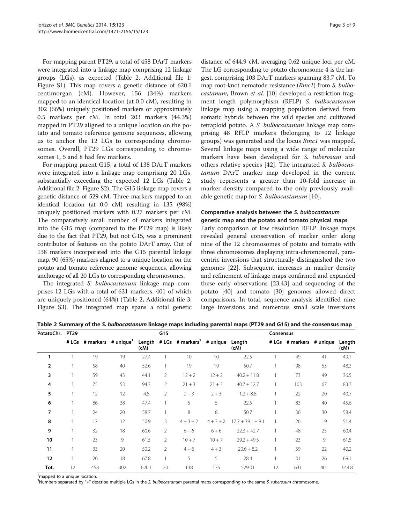For mapping parent PT29, a total of 458 DArT markers were integrated into a linkage map comprising 12 linkage groups (LGs), as expected (Table 2, Additional file [1](#page-6-0): Figure S1). This map covers a genetic distance of 620.1 centimorgan (cM). However, 156 (34%) markers mapped to an identical location (at 0.0 cM), resulting in 302 (66%) uniquely positioned markers or approximately 0.5 markers per cM. In total 203 markers (44.3%) mapped in PT29 aligned to a unique location on the potato and tomato reference genome sequences, allowing us to anchor the 12 LGs to corresponding chromosomes. Overall, PT29 LGs corresponding to chromosomes 1, 5 and 8 had few markers.

For mapping parent G15, a total of 138 DArT markers were integrated into a linkage map comprising 20 LGs, substantially exceeding the expected 12 LGs (Table 2, Additional file [2](#page-6-0): Figure S2). The G15 linkage map covers a genetic distance of 529 cM. Three markers mapped to an identical location (at 0.0 cM) resulting in 135 (98%) uniquely positioned markers with 0.27 markers per cM. The comparatively small number of markers integrated into the G15 map (compared to the PT29 map) is likely due to the fact that PT29, but not G15, was a prominent contributor of features on the potato DArT array. Out of 138 markers incorporated into the G15 parental linkage map, 90 (65%) markers aligned to a unique location on the potato and tomato reference genome sequences, allowing anchorage of all 20 LGs to corresponding chromosomes.

The integrated S. bulbocastanum linkage map comprises 12 LGs with a total of 631 markers, 401 of which are uniquely positioned (64%) (Table 2, Additional file [3](#page-6-0): Figure S3). The integrated map spans a total genetic

distance of 644.9 cM, averaging 0.62 unique loci per cM. The LG corresponding to potato chromosome 4 is the largest, comprising 103 DArT markers spanning 83.7 cM. To map root-knot nematode resistance (Rmc1) from S. bulbo-castanum, Brown et al. [\[10\]](#page-7-0) developed a restriction fragment length polymorphism (RFLP) S. bulbocastanum linkage map using a mapping population derived from somatic hybrids between the wild species and cultivated tetraploid potato. A S. bulbocastanum linkage map comprising 48 RFLP markers (belonging to 12 linkage groups) was generated and the locus Rmc1 was mapped. Several linkage maps using a wide range of molecular markers have been developed for S. tuberosum and others relative species [[42](#page-7-0)]. The integrated S. bulbocastanum DArT marker map developed in the current study represents a greater than 10-fold increase in marker density compared to the only previously available genetic map for S. bulbocastanum [[10\]](#page-7-0).

# Comparative analysis between the S. bulbocastanum genetic map and the potato and tomato physical maps

Early comparison of low resolution RFLP linkage maps revealed general conservation of marker order along nine of the 12 chromosomes of potato and tomato with three chromosomes displaying intra-chromosomal, paracentric inversions that structurally distinguished the two genomes [[22\]](#page-7-0). Subsequent increases in marker density and refinement of linkage maps confirmed and expanded these early observations [[23](#page-7-0),[43](#page-7-0)] and sequencing of the potato [[40\]](#page-7-0) and tomato [[30](#page-7-0)] genomes allowed direct comparisons. In total, sequence analysis identified nine large inversions and numerous small scale inversions

| Table 2 Summary of the S. bulbocastanum linkage maps including parental maps (PT29 and G15) and the consensus map |     |           |  |  |  |  |  |
|-------------------------------------------------------------------------------------------------------------------|-----|-----------|--|--|--|--|--|
| PotatoChr. PT29                                                                                                   | G15 | Consensus |  |  |  |  |  |

| ∙υιαι∪⊂ιιι. | <b>FI47</b> |                                       |     |       | ៶៲៴            |                                                     |             |                     | CONSENSUS |                          |     |                |
|-------------|-------------|---------------------------------------|-----|-------|----------------|-----------------------------------------------------|-------------|---------------------|-----------|--------------------------|-----|----------------|
|             |             | # LGs # markers # unique <sup>1</sup> |     | (cM)  |                | Length # LGs # markers <sup>2</sup> # unique Length |             | (cM)                |           | # LGs # markers # unique |     | Length<br>(cM) |
| 1           |             | 19                                    | 19  | 27.4  |                | 10                                                  | 10          | 22.5                |           | 49                       | 41  | 49.1           |
| 2           |             | 58                                    | 40  | 52.6  |                | 19                                                  | 19          | 50.7                |           | 98                       | 53  | 48.3           |
| 3           |             | 59                                    | 43  | 44.1  | 2              | $12 + 2$                                            | $12 + 2$    | $40.2 + 11.8$       |           | 73                       | 49  | 36.5           |
| 4           |             | 75                                    | 53  | 94.3  | $\overline{2}$ | $21 + 3$                                            | $21 + 3$    | $40.7 + 12.7$       |           | 103                      | 67  | 83.7           |
| 5           |             | 12                                    | 12  | 4.8   | $\overline{2}$ | $2 + 3$                                             | $2 + 3$     | $1.2 + 8.8$         |           | 22                       | 20  | 40.7           |
| 6           |             | 86                                    | 38  | 47.4  |                | 5                                                   | 5           | 22.5                |           | 83                       | 40  | 45.6           |
| 7           |             | 24                                    | 20  | 58.7  |                | 8                                                   | 8           | 50.7                |           | 36                       | 30  | 58.4           |
| 8           |             | 17                                    | 12  | 50.9  | 3.             | $4 + 3 + 2$                                         | $4 + 3 + 2$ | $17.7 + 39.1 + 9.1$ |           | 26                       | 19  | 51.4           |
| 9           |             | 32                                    | 18  | 60.6  | $\overline{2}$ | $6 + 6$                                             | $6 + 6$     | $22.3 + 42.7$       |           | 48                       | 25  | 60.4           |
| 10          |             | 23                                    | 9   | 61.5  | 2              | $10 + 7$                                            | $10 + 7$    | $29.2 + 49.5$       |           | 23                       | 9   | 61.5           |
| 11          |             | 33                                    | 20  | 50.2  | $\overline{2}$ | $4 + 6$                                             | $4 + 3$     | $20.6 + 8.2$        |           | 39                       | 22  | 40.2           |
| 12          |             | 20                                    | 18  | 67.8  |                | 5                                                   | 5           | 28.4                |           | 31                       | 26  | 69.1           |
| Tot.        | 12          | 458                                   | 302 | 620.1 | 20             | 138                                                 | 135         | 529.01              | 12        | 631                      | 401 | 644.8          |

<sup>1</sup> mapped to a unique location.

<sup>2</sup>Numbers separated by "+" describe multiple LGs in the S. bulbocastanum parental maps corresponding to the same S. tuberosum chromosome.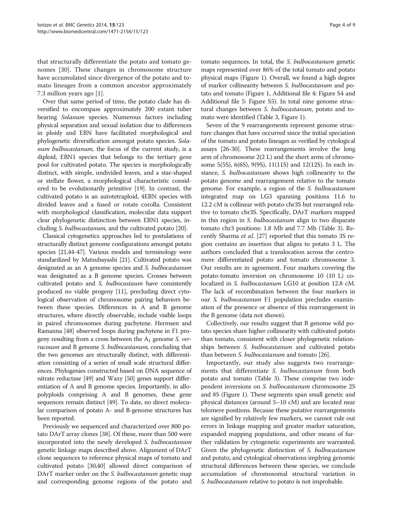that structurally differentiate the potato and tomato genomes [\[30](#page-7-0)]. These changes in chromosome structure have accumulated since divergence of the potato and tomato lineages from a common ancestor approximately 7.3 million years ago [[1\]](#page-6-0).

Over that same period of time, the potato clade has diversified to encompass approximately 200 extant tuber bearing Solanum species. Numerous factors including physical separation and sexual isolation due to differences in ploidy and EBN have facilitated morphological and phylogenetic diversification amongst potato species. Solanum bulbocastanum, the focus of the current study, is a diploid, EBN1 species that belongs to the tertiary gene pool for cultivated potato. The species is morphologically distinct, with simple, undivided leaves, and a star-shaped or stellate flower, a morphological characteristic considered to be evolutionarily primitive [[19](#page-7-0)]. In contrast, the cultivated potato is an autotetraploid, 4EBN species with divided leaves and a fused or rotate corolla. Consistent with morphological classification, molecular data support clear phylogenetic distinction between EBN1 species, including S. bulbocastanum, and the cultivated potato [[20](#page-7-0)].

Classical cytogenetics approaches led to postulations of structurally distinct genome configurations amongst potato species [\[21,44-47](#page-7-0)]. Various models and terminology were standardized by Matsubayashi [\[21\]](#page-7-0). Cultivated potato was designated as an A genome species and S. bulbocastanum was designated as a B genome species. Crosses between cultivated potato and S. bulbocastaum have consistently produced no viable progeny [[11](#page-7-0)], precluding direct cytological observation of chromosome pairing behaviors between these species. Differences in A and B genome structures, where directly observable, include visible loops in paired chromosomes during pachytene. Hermsen and Ramanna [\[48\]](#page-7-0) observed loops during pachytene in F1 progeny resulting from a cross between the  $A_1$  genome S. verrucosum and B genome S. bulbocastanum, concluding that the two genomes are structurally distinct, with differentiation consisting of a series of small scale structural differences. Phylogenies constructed based on DNA sequence of nitrate reductase [\[49\]](#page-7-0) and Waxy [\[50\]](#page-8-0) genes support differentiation of A and B genome species. Importantly, in allopolyploids comprising A and B genomes, these gene sequences remain distinct [\[49\]](#page-7-0). To date, no direct molecular comparison of potato A- and B-genome structures has been reported.

Previously we sequenced and characterized over 800 potato DArT array clones [\[38\]](#page-7-0). Of these, more than 500 were incorporated into the newly developed S. bulbocastanum genetic linkage maps described above. Alignment of DArT clone sequences to reference physical maps of tomato and cultivated potato [\[30,40\]](#page-7-0) allowed direct comparison of DArT marker order on the *S. bulbocastanum* genetic map and corresponding genome regions of the potato and tomato sequences. In total, the S. bulbocastanum genetic maps represented over 86% of the total tomato and potato physical maps (Figure [1](#page-4-0)). Overall, we found a high degree of marker collinearity between S. bulbocastanum and potato and tomato (Figure [1](#page-4-0), Additional file [4:](#page-6-0) Figure S4 and Additional file [5](#page-6-0): Figure S5). In total nine genome structural changes between S. bulbocastanum, potato and tomato were identified (Table [3,](#page-4-0) Figure [1](#page-4-0)).

Seven of the 9 rearrangements represent genome structure changes that have occurred since the initial speciation of the tomato and potato lineages as verified by cytological assays [[26](#page-7-0)-[30](#page-7-0)]. These rearrangements involve the long arm of chromosome 2(2 L) and the short arms of chromosome 5(5S), 6(6S), 9(9S), 11(11S) and 12(12S). In each instance, S. bulbocastanum shows high collinearity to the potato genome and rearrangement relative to the tomato genome. For example, a region of the S. bulbocastanum integrated map on LG3 spanning positions 11.6 to 12.2 cM is collinear with potato chr3S but rearranged relative to tomato chr3S. Specifically, DArT markers mapped in this region in S. bulbocastanum align to two disparate tomato chr3 positions: 1.8 Mb and 7.7 Mb (Table [3](#page-4-0)). Recently Sharma et al. [\[27\]](#page-7-0) reported that this tomato 3S region contains an insertion that aligns to potato 3 L. The authors concluded that a translocation across the centromere differentiated potato and tomato chromosome 3. Our results are in agreement. Four markers covering the potato-tomato inversion on chromosome 10 (10 L) colocalized in S. bulbocastanum LG10 at position 12.8 cM. The lack of recombination between the four markers in our S. bulbocastanum F1 population precludes examination of the presence or absence of this rearrangement in the B genome (data not shown).

Collectively, our results suggest that B genome wild potato species share higher collinearity with cultivated potato than tomato, consistent with closer phylogenetic relationships between *S. bulbocastanum* and cultivated potato than between S. bulbocastanum and tomato [\[26\]](#page-7-0).

Importantly, our study also suggests two rearrangements that differentiate S. bulbocastanum from both potato and tomato (Table [3](#page-4-0)). These comprise two independent inversions on S. bulbocastanum chromosome 2S and 8S (Figure [1](#page-4-0)). These segments span small genetic and physical distances (around 5–10 cM) and are located near telomere positions. Because these putative rearrangements are signified by relatively few markers, we cannot rule out errors in linkage mapping and greater marker saturation, expanded mapping populations, and other means of further validation by cytogenetic experiments are warranted. Given the phylogenetic distinction of S. bulbocastanum and potato, and cytological observations implying genomic structural differences between these species, we conclude accumulation of chromosomal structural variation in S. bulbocastanum relative to potato is not improbable.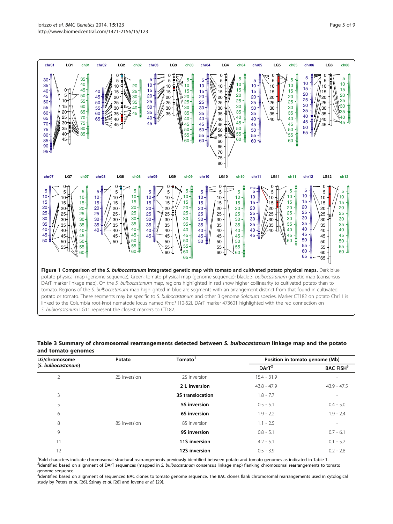<span id="page-4-0"></span>

#### Table 3 Summary of chromosomal rearrangements detected between S. bulbocastanum linkage map and the potato and tomato genomes

| LG/chromosome      | Potato       | Tomato <sup>1</sup> | Position in tomato genome (Mb) |                              |  |
|--------------------|--------------|---------------------|--------------------------------|------------------------------|--|
| (S. bulbocastanum) |              |                     | $DArT^2$                       | <b>BAC FISH</b> <sup>3</sup> |  |
| $\overline{2}$     | 2S inversion | 2S inversion        | $15.4 - 31.9$                  | $\overline{\phantom{a}}$     |  |
|                    |              | 2 L inversion       | $43.8 - 47.9$                  | $43.9 - 47.5$                |  |
| 3                  |              | 3S translocation    | $1.8 - 7.7$                    | $\overline{\phantom{a}}$     |  |
| 5                  |              | 5S inversion        | $0.5 - 5.1$                    | $0.4 - 5.0$                  |  |
| 6                  |              | 6S inversion        | $1.9 - 2.2$                    | $1.9 - 2.4$                  |  |
| 8                  | 8S inversion | 8S inversion        | $1.1 - 2.5$                    | $\sim$                       |  |
| 9                  |              | 9S inversion        | $0.8 - 5.1$                    | $0.7 - 6.1$                  |  |
| 11                 |              | 11S inversion       | $4.2 - 5.1$                    | $0.1 - 5.2$                  |  |
| 12                 |              | 12S inversion       | $0.5 - 3.9$                    | $0.2 - 2.8$                  |  |

<sup>1</sup>Bold characters indicate chromosomal structural rearrangements previously identified between potato and tomato genomes as indicated in Table [1.](#page-1-0)<br><sup>2</sup>identified based on alignment of DArT sequences (manned in S, hulbocasta <sup>2</sup>identified based on alignment of DArT sequences (mapped in S. bulbocastanum consensus linkage map) flanking chromosomal rearrangements to tomato genome sequence.

<sub>-</sub><br><sup>3</sup>identified based on alignment of sequenced BAC clones to tomato genome sequence. The BAC clones flank chromosomal rearrangements used in cytological study by Peters et al. [[26\]](#page-7-0), Szinay et al. [[28](#page-7-0)] and lovene et al. [\[29](#page-7-0)].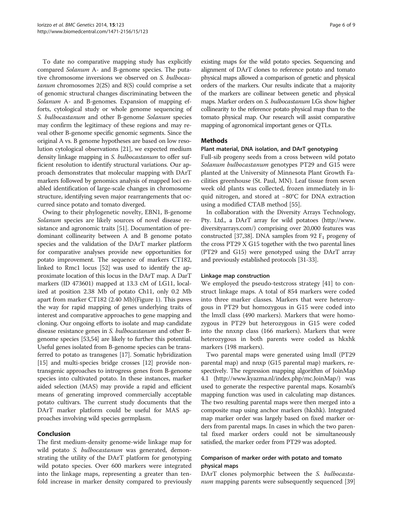To date no comparative mapping study has explicitly compared Solanum A- and B-genome species. The putative chromosome inversions we observed on S. bulbocastanum chromosomes  $2(2S)$  and  $8(S)$  could comprise a set of genomic structural changes discriminating between the Solanum A- and B-genomes. Expansion of mapping efforts, cytological study or whole genome sequencing of S. bulbocastanum and other B-genome Solanum species may confirm the legitimacy of these regions and may reveal other B-genome specific genomic segments. Since the original A vs. B genome hypotheses are based on low resolution cytological observations [[21\]](#page-7-0), we expected medium density linkage mapping in S. bulbocastanum to offer sufficient resolution to identify structural variations. Our approach demonstrates that molecular mapping with DArT markers followed by genomics analysis of mapped loci enabled identification of large-scale changes in chromosome structure, identifying seven major rearrangements that occurred since potato and tomato diverged.

Owing to their phylogenetic novelty, EBN1, B-genome Solanum species are likely sources of novel disease resistance and agronomic traits [\[51\]](#page-8-0). Documentation of predominant collinearity between A and B genome potato species and the validation of the DArT marker platform for comparative analyses provide new opportunities for potato improvement. The sequence of markers CT182, linked to Rmc1 locus [\[52\]](#page-8-0) was used to identify the approximate location of this locus in the DArT map. A DarT markers (ID 473601) mapped at 13.3 cM of LG11, localized at position 2.38 Mb of potato Ch11, only 0.2 Mb apart from marker CT182 (2.40 Mb)(Figure [1](#page-4-0)). This paves the way for rapid mapping of genes underlying traits of interest and comparative approaches to gene mapping and cloning. Our ongoing efforts to isolate and map candidate disease resistance genes in S. bulbocastanum and other Bgenome species [\[53,54](#page-8-0)] are likely to further this potential. Useful genes isolated from B-genome species can be transferred to potato as transgenes [\[17\]](#page-7-0). Somatic hybridization [[15](#page-7-0)] and multi-species bridge crosses [\[12](#page-7-0)] provide nontransgenic approaches to introgress genes from B-genome species into cultivated potato. In these instances, marker aided selection (MAS) may provide a rapid and efficient means of generating improved commercially acceptable potato cultivars. The current study documents that the DArT marker platform could be useful for MAS approaches involving wild species germplasm.

### Conclusion

The first medium-density genome-wide linkage map for wild potato S. bulbocastanum was generated, demonstrating the utility of the DArT platform for genotyping wild potato species. Over 600 markers were integrated into the linkage maps, representing a greater than tenfold increase in marker density compared to previously existing maps for the wild potato species. Sequencing and alignment of DArT clones to reference potato and tomato physical maps allowed a comparison of genetic and physical orders of the markers. Our results indicate that a majority of the markers are collinear between genetic and physical maps. Marker orders on S. bulbocastanum LGs show higher collinearity to the reference potato physical map than to the tomato physical map. Our research will assist comparative mapping of agronomical important genes or QTLs.

### Methods

## Plant material, DNA isolation, and DArT genotyping

Full-sib progeny seeds from a cross between wild potato Solanum bulbocastanum genotypes PT29 and G15 were planted at the University of Minnesota Plant Growth Facilities greenhouse (St. Paul, MN). Leaf tissue from seven week old plants was collected, frozen immediately in liquid nitrogen, and stored at −80°C for DNA extraction using a modified CTAB method [[55\]](#page-8-0).

In collaboration with the Diversity Arrays Technology, Pty. Ltd., a DArT array for wild potatoes ([http://www.](http://www.diversityarrays.com/) [diversityarrays.com/\)](http://www.diversityarrays.com/) comprising over 20,000 features was constructed [\[37,38](#page-7-0)]. DNA samples from 92  $F_1$  progeny of the cross PT29 X G15 together with the two parental lines (PT29 and G15) were genotyped using the DArT array and previously established protocols [[31](#page-7-0)-[33](#page-7-0)].

#### Linkage map construction

We employed the pseudo-testcross strategy [[41\]](#page-7-0) to construct linkage maps. A total of 854 markers were coded into three marker classes. Markers that were heterozygous in PT29 but homozygous in G15 were coded into the lmxll class (490 markers). Markers that were homozygous in PT29 but heterozygous in G15 were coded into the nnxnp class (166 markers). Markers that were heterozygous in both parents were coded as hkxhk markers (198 markers).

Two parental maps were generated using lmxll (PT29 parental map) and nnxp (G15 parental map) markers, respectively. The regression mapping algorithm of JoinMap 4.1 [\(http://www.kyazma.nl/index.php/mc.JoinMap/](http://www.kyazma.nl/index.php/mc.JoinMap/)) was used to generate the respective parental maps. Kosambi's mapping function was used in calculating map distances. The two resulting parental maps were then merged into a composite map using anchor markers (hkxhk). Integrated map marker order was largely based on fixed marker orders from parental maps. In cases in which the two parental fixed marker orders could not be simultaneously satisfied, the marker order from PT29 was adopted.

## Comparison of marker order with potato and tomato physical maps

DArT clones polymorphic between the *S. bulbocasta-*num mapping parents were subsequently sequenced [[39](#page-7-0)]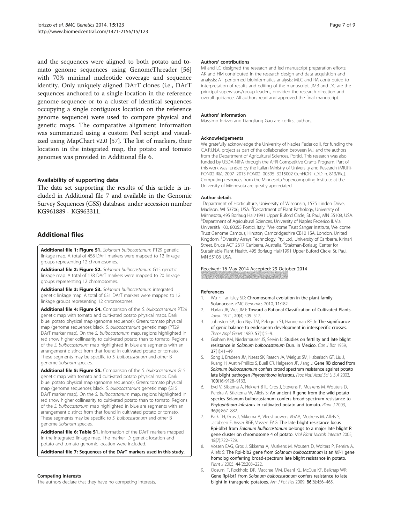<span id="page-6-0"></span>and the sequences were aligned to both potato and tomato genome sequences using GenomeThreader [[56](#page-8-0)] with 70% minimal nucleotide coverage and sequence identity. Only uniquely aligned DArT clones (i.e., DArT sequences anchored to a single location in the reference genome sequence or to a cluster of identical sequences occupying a single contiguous location on the reference genome sequence) were used to compare physical and genetic maps. The comparative alignment information was summarized using a custom Perl script and visualized using MapChart v2.0 [\[57\]](#page-8-0). The list of markers, their location in the integrated map, the potato and tomato genomes was provided in Additional file 6.

#### Availability of supporting data

The data set supporting the results of this article is included in Additional file 7 and available in the Genomic Survey Sequences (GSS) database under accession number KG961889 - KG963311.

# Additional files

[Additional file 1: Figure S1.](http://www.biomedcentral.com/content/supplementary/s12863-014-0123-6-s1.pdf) Solanum bulbocastanum PT29 genetic linkage map. A total of 458 DArT markers were mapped to 12 linkage groups representing 12 chromosomes.

[Additional file 2: Figure S2.](http://www.biomedcentral.com/content/supplementary/s12863-014-0123-6-s2.pdf) Solanum bulbocastanum G15 genetic linkage map. A total of 138 DArT markers were mapped to 20 linkage groups representing 12 chromosomes.

[Additional file 3: Figure S3.](http://www.biomedcentral.com/content/supplementary/s12863-014-0123-6-s3.pdf) Solanum bulbocastanum integrated genetic linkage map. A total of 631 DArT markers were mapped to 12 linkage groups representing 12 chromosomes.

[Additional file 4: Figure S4.](http://www.biomedcentral.com/content/supplementary/s12863-014-0123-6-s4.pdf) Comparison of the S. bulbocastanum PT29 genetic map with tomato and cultivated potato physical maps. Dark blue: potato physical map (genome sequence); Green: tomato physical map (genome sequence); black: S. bulbocastanum genetic map (PT29 DArT marker map). On the S. bulbocastanum map, regions highlighted in red show higher collinearity to cultivated potato than to tomato. Regions of the S. bulbocastanum map highlighted in blue are segments with an arrangement distinct from that found in cultivated potato or tomato. These segments may be specific to S. bulbocastanum and other B genome Solanum species.

[Additional file 5: Figure S5.](http://www.biomedcentral.com/content/supplementary/s12863-014-0123-6-s5.pdf) Comparison of the S. bulbocastanum G15 genetic map with tomato and cultivated potato physical maps. Dark blue: potato physical map (genome sequence); Green: tomato physical map (genome sequence); black: S. bulbocastanum genetic map (G15 DArT marker map). On the S. bulbocastanum map, regions highlighted in red show higher collinearity to cultivated potato than to tomato. Regions of the S. bulbocastanum map highlighted in blue are segments with an arrangement distinct from that found in cultivated potato or tomato. These segments may be specific to S. bulbocastanum and other B genome Solanum species.

[Additional file 6: Table S1.](http://www.biomedcentral.com/content/supplementary/s12863-014-0123-6-s6.xlsx) Information of the DArT markers mapped in the integrated linkage map. The marker ID, genetic location and potato and tomato genomic location were included.

[Additional file 7:](http://www.biomedcentral.com/content/supplementary/s12863-014-0123-6-s7.zip) Sequences of the DArT markers used in this study.

#### Competing interests

The authors declare that they have no competing interests.

#### Authors' contributions

MI and LG designed the research and led manuscript preparation efforts; AK and HM contributed in the research design and data acquisition and analysis; AT performed bioinformatics analysis; MLC and RA contributed to interpretation of results and editing of the manuscript. JMB and DC are the principal supervisors/group leaders, provided the research direction and overall guidance. All authors read and approved the final manuscript.

#### Authors' information

Massimo Iorizzo and Liangliang Gao are co-first authors.

#### Acknowledgements

We gratefully acknowledge the University of Naples Federico II, for funding the C.A.R.I.N.A. project as part of the collaboration between M.I. and the authors from the Department of Agricultural Sciences, Portici. This research was also funded by USDA-NIFA through the AFRI Competitive Grants Program. Part of this work was funded by the Italian Ministry of University and Research (MiUR)- PON02 R&C 2007–2013 PON02\_00395\_3215002 GenHORT (D.D. n. 813/Ric.). Computing resources from the Minnesota Supercomputing Institute at the University of Minnesota are greatly appreciated.

#### Author details

<sup>1</sup>Department of Horticulture, University of Wisconsin, 1575 Linden Drive Madison, WI 53706, USA. <sup>2</sup> Department of Plant Pathology, University of Minnesota, 495 Borlaug Hall/1991 Upper Buford Circle, St. Paul, MN 55108, USA. <sup>3</sup>Department of Agricultural Sciences, University of Naples Federico II, Via Università 100, 80055 Portici, Italy. <sup>4</sup>Wellcome Trust Sanger Institute, Wellcome Trust Genome Campus, Hinxton, Cambridgeshire CB10 1SA, London, United Kingdom. <sup>5</sup>Diversity Arrays Technology, Pty. Ltd., University of Canberra, Kirinari Street, Bruce ACT 2617 Canberra, Australia. <sup>6</sup>Stakman-Borlaug Center for Sustainable Plant Health, 495 Borlaug Hall/1991 Upper Buford Circle, St. Paul, MN 55108, USA.

# Received: 16 May 2014 Accepted: 29 October 2014

#### References

- 1. Wu F, Tanksley SD: Chromosomal evolution in the plant family Solanaceae. BMC Genomics 2010, 11:182.
- 2. Harlan JR, Wet JMJ: Toward a Rational Classification of Cultivated Plants. Taxon 1971, 20(4):509–517.
- 3. Johnston SA, den Nijs TM, Peloquin SJ, Hanneman RE Jr: The significance of genic balance to endosperm development in interspecific crosses. Theor Appl Genet 1980, 57(1):5–9.
- 4. Graham KM, Niederhauser JS, Servin L: Studies on fertility and late blight resistance in Solanum bulbocastanum Dun. in Mexico. Can J Bot 1959, 37(1):41–49.
- 5. Song J, Bradeen JM, Naess SK, Raasch JA, Wielgus SM, Haberlach GT, Liu J, Kuang H, Austin-Phillips S, Buell CR, Helgeson JP, Jiang J: Gene RB cloned from Solanum bulbocastanum confers broad spectrum resistance against potato late blight pathogen Phytophthora infestans. Proc Natl Acad Sci U S A 2003, 100(16):9128–9133.
- 6. Evd V, Sikkema A, Hekkert BTL, Gros J, Stevens P, Muskens M, Wouters D, Pereira A, Stiekema W, Allefs S: An ancient R gene from the wild potato species Solanum bulbocastanum confers broad-spectrum resistance to Phytophthora infestans in cultivated potato and tomato. Plant J 2003, 36(6):867–882.
- 7. Park TH, Gros J, Sikkema A, Vleeshouwers VGAA, Muskens M, Allefs S, Jacobsen E, Visser RGF, Vossen EAG: The late blight resistance locus Rpi-blb3 from Solanum bulbocastanum belongs to a major late blight R gene cluster on chromosome 4 of potato. Mol Plant Microb Interact 2005, 18(7):722–729.
- 8. Vossen EAG, Gros J, Sikkema A, Muskens M, Wouters D, Wolters P, Pereira A, Allefs S: The Rpi-blb2 gene from Solanum bulbocastanum is an Mi-1 gene homolog conferring broad-spectrum late blight resistance in potato. Plant J 2005, 44(2):208–222.
- 9. Oosumi T, Rockhold DR, Maccree MM, Deahl KL, McCue KF, Belknap WR: Gene Rpi-bt1 from Solanum bulbocastanum confers resistance to late blight in transgenic potatoes. Am J Pot Res 2009, 86(6):456-465.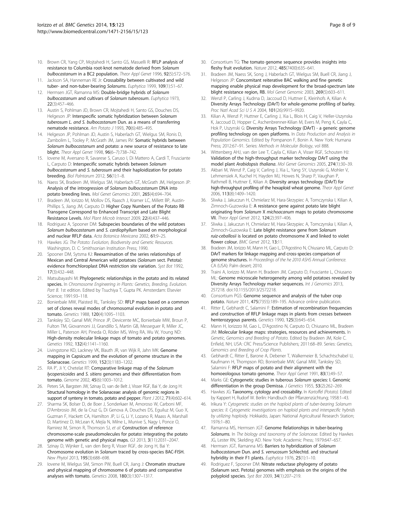- <span id="page-7-0"></span>10. Brown CR, Yang CP, Mojtahedi H, Santo GS, Masuelli R: RFLP analysis of resistance to Columbia root-knot nematode derived from Solanum bulbocastanum in a BC2 population. Theor Appl Genet 1996, 92(5):572–576.
- 11. Jackson SA, Hanneman RE Jr: Crossability between cultivated and wild tuber- and non-tuber-bearing Solanums. Euphytica 1999, 109(1):51–67.
- 12. Hermsen JGT, Ramanna MS: Double-bridge hybrids of Solanum bulbocastanum and cultivars of Solanum tuberosum. Euphytica 1973, 22(3):457–466.
- 13. Austin S, Pohlman JD, Brown CR, Mojtahedi H, Santo GS, Douches DS, Helgeson JP: Interspecific somatic hybridization between Solanum tuberosum L. and S. bulbocastanum Dun. as a means of transferring nematode resistance. Am Potato J 1993, 70(6):485–495.
- 14. Helgeson JP, Pohlman JD, Austin S, Haberlach GT, Wielgus SM, Ronis D, Zambolim L, Tooley P, McGrath JM, James RV: Somatic hybrids between Solanum bulbocastanum and potato: a new source of resistance to late blight. Theor Appl Genet 1998, 96(6–7):738–742.
- 15. Iovene M, Aversano R, Savarese S, Caruso I, Di Mattero A, Cardi T, Frusciante L, Carputo D: Interspecific somatic hybrids between Solanum bulbocastanum and S. tuberosum and their haploidization for potato breeding. Biol Palntarum 2012, 56(1):1–8.
- 16. Naess SK, Bradeen JM, Wielgus SM, Haberlach GT, McGrath JM, Helgeson JP: Analysis of the introgression of Solanum bulbocastanum DNA into potato breeding lines. Mol Genet Genomics 2001, 265(4):694–704.
- 17. Bradeen JM, Iorizzo M, Mollov DS, Raasch J, Kramer LC, Millett BP, Austin-Phillips S, Jiang JM, Carputo D: Higher Copy Numbers of the Potato RB Transgene Correspond to Enhanced Transcript and Late Blight Resistance Levels. Mol Plant Microb Interact 2009, 22(4):437–446.
- 18. Rodriguez A, Spooner DM: Subspecies boundaries of the wild potatoes Solanum bulbocastanum and S. cardiophyllum based on morphological and nuclear RFLP data. Acta Botanica Mexicana 2002, 61:9–25.
- 19. Hawkes JG: The Potato: Evolution, Biodiversity and Genetic Resources. Washington, D. C: Smithsonian Institution Press; 1990.
- 20. Spooner DM, Sytsma KJ: Reexamination of the series relationships of Mexican and Central American wild potatoes (Solanum sect. Petota): evidence fromchloroplast DNA restriction site variation. Syst Bot 1992, 17(3):432–448.
- 21. Matsubayashi M: Phylogenetic relationships in the potato and its related species. In Chromosome Engineering in Plants: Genetics, Breeding, Evolution. Part B. 1st edition. Edited by Tsuchiya T, Gupta PK. Amsterdam: Elsevier Science; 1991:93–118.
- 22. Bonierbale MW, Plaisted RL, Tanksley SD: RFLP maps based on a common set of clones reveal modes of chromosomal evolution in potato and tomato. Genetics 1988, 120(4):1095–1103.
- 23. Tanksley SD, Ganal MW, Prince JP, Devicente MC, Bonierbale MW, Broun P, Fulton TM, Giovannoni JJ, Grandillo S, Martin GB, Messeguer R, Miller JC, Miller L, Paterson AH, Pineda O, Röder MS, Wing RA, Wu W, Young ND: High-density molecular linkage maps of tomato and potato genomes. Genetics 1992, 132(4):1141–1160.
- 24. Livingstone KD, Lackney VK, Blauth JR, van Wijk R, Jahn MK: Genome mapping in Capsicum and the evolution of genome structure in the Solanaceae. Genetics 1999, 152(3):1183–1202.
- 25. RA P', Ji Y, Chetelat RT: Comparative linkage map of the Solanum lycopersicoides and S. sitiens genomes and their differentiation from tomato. Genome 2002, 45(6):1003–1012.
- 26. Peters SA, Bargsten JW, Szinay D, van de Belt J, Visser RGF, Bai Y, de Jong H: Structural homology in the Solanaceae: analysis of genomic regions in support of synteny in tomato, potato and pepper. Plant J 2012, 71(4):602-614.
- 27. Sharma SK, Bolser D, de Boer J, Sonderkaer M, Amoroso W, Carboni MF, D'Ambrosio JM, de la Cruz G, Di Genova A, Douches DS, Eguiluz M, Guo X, Guzman F, Hackett CA, Hamilton JP, Li G, Li Y, Lozano R, Maass A, Marshall D, Martinez D, McLean K, Mejía N, Milne L, Munive S, Nagy I, Ponce O, Ramirez M, Simon R, Thomson SJ, et al: Construction of reference chromosome-scale pseudomolecules for potato: integrating the potato genome with genetic and physical maps. G3 2013, 3(11):2031–2047.
- 28. Szinay D, Wijnker E, van den Berg R, Visser RGF, de Jong H, Bai Y: Chromosome evolution in Solanum traced by cross-species BAC-FISH. New Phytol 2013, 195(3):688–698.
- 29. Iovene M, Wielgus SM, Simon PW, Buell CR, Jiang J: Chromatin structure and physical mapping of chromosome 6 of potato and comparative analyses with tomato. Genetics 2008, 180(3):1307–1317.
- 30. Consortium TG: The tomato genome sequence provides insights into fleshy fruit evolution. Nature 2012, 485(7400):635–641.
- 31. Bradeen JM, Naess SK, Song J, Haberlach GT, Wielgus SM, Buell CR, Jiang J, Helgeson JP: Concomitant reiterative BAC walking and fine genetic mapping enable physical map development for the broad-spectrum late blight resistance region, RB. Mol Genet Genomic 2003, 269(5):603–611.
- 32. Wenzl P, Carling J, Kudrna D, Jaccoud D, Huttner E, Kleinhofs A, Kilian A: Diversity Arrays Technology (DArT) for whole-genome profiling of barley. Proc Natl Acad Sci U S A 2004, 101(26):9915–9920.
- 33. Kilian A, Wenzl P, Huttner E, Carling J, Xia L, Blois H, Caig V, Heller-Uszynska K, Jaccoud D, Hopper C, Aschenbrenner-Kilian M, Evers M, Peng K, Cayla C, Hok P, Uszynski G: Diversity Arrays Technology (DArT) - a generic genome profiling technology on open platforms. In Data Production and Analysis in Population Genomics. Edited by Pompanon F, Bonin A. New York: Humana Press; 2012:67–91. Series: Methods in Molecular Biology, vol 888.
- 34. Wittenberg AHJ, van der Lee T, Cayla C, Kilian A, Visser RGF, Schouten HJ: Validation of the high-throughput marker technology DArT using the model plant Arabidopsis thaliana. Mol Genet Genomics 2005, 274(1):30–39.
- 35. Akbari M, Wenzl P, Caig V, Carling J, Xia L, Yang SY, Uszynski G, Mohler V, Lehmensiek A, Kuchel H, Hayden MJ, Howes N, Sharp P, Vaughan P, Rathmell B, Huttner E, Kilian A: Diversity arrays technology (DArT) for high-throughput profiling of the hexaploid wheat genome. Theor Appl Genet 2006, 113(8):1409–1420.
- 36. Sliwka J, Jakuczun H, Chmielarz M, Hara-Skrzypiec A, Tomczynska I, Kilian A, Zimnoch-Guzowska E: A resistance gene against potato late blight originating from Solanum X michoacanum maps to potato chromosome VII. Theor Appl Genet 2012, 124(2):397–406.
- 37. Sliwka J, Jakuczun H, Chmielarz M, Hara-Skrzypiec A, Tomczynska I, Kilian A, Zimnoch-Guzowska E: Late blight resistance gene from Solanum ruiz-ceballosii is located on potato chromosome X and linked to violet flower colour. BMC Genet 2012, 13:11.
- 38. Bradeen JM, Iorizzo M, Mann H, Gao L, D'Agostino N, Chiusano ML, Carputo D: DArT markers for linkage mapping and cross-species comparison of genome structures. In Proceedings of the he 2010 ASHS Annual Conference. CA (USA): Palm desert; 2010.
- 39. Traini A, Iorizzo M, Mann H, Bradeen JM, Carputo D, Frusciante L, Chiusano ML: Genome microscale heterogeneity among wild potatoes revealed by Diversity Arrays Technology marker sequences. Int J Genomics 2013, 257218. doi:10.1155/2013/2572218.
- 40. Consortium PGS: Genome sequence and analysis of the tuber crop potato. Nature 2011, 475(7355):189–195. Advance online publication.
- 41. Ritter E, Gebhardt C, Salamini F: Estimation of recombination frequencies and construction of RFLP linkage maps in plants from cresses between henterozygous parents. Genetics 1990, 125(3):645–654.
- 42. Mann H, Iorizzzo M, Gao L, D'Agostino N, Carputo D, Chiusano ML, Bradeen JM: Molecular linkage maps: strategies, resources and achievements. In Genetic, Genomics and Breeding of Potato. Edited by Bradeen JM, Kole C. Enfield, NH, USA: CRC Press/Science Publishers; 2011:68–89. Series: Genetics, Genomics and Breeding of Crop Plants.
- 43. Gebhardt C, Ritter E, Barone A, Debener T, Walkemeier B, Schachtschabel U, Kaufmann H, Thompson RD, Bonierbale MW, Ganal MW, Tanksley SD, Salamini F: RFLP maps of potato and their alignment with the homoeologous tomato genome. Theor Appl Genet 1991, 83(1):49-57.
- 44. Marks GE: Cytogenetic studies in tuberous Solanum species: I. Genomic differentiation in the group Demissa. J Genetics 1955, 53(2):262-269.
- 45. Hawkes JG: Taxonomy, cytology and crossability. In Kartoffel (Potato). Edited by Kappert H, Rudorf W. Berlin: Handbuch der Pflanzenzüchtung; 1958:1–43.
- 46. Irikura Y: Cytogenetic studies on the haploid plants of tuber-bearing Solanum species: II. Cytogenetic investigations on haploid plants and interspecific hybrids by utilizing haploidy. Hokkaido, Japan: National Agricultural Research Station; 1976:1–80.
- 47. Ramanna MS, Hermsen JGT: Genome Relationships in tuber-bearing Solanums. In The biology and taxonomy of the Solanceae. Edited by Hawkes JG, Lester RN, Skelding AD. New York: Academic Press; 1979:647–657.
- 48. Hermsen JGT, Ramanna MS: Barriers to hybridization of Solanum bulbocastanum Dun. and S. verrucosum Schlechtd. and structural hybridity in their F1 plants. Euphytica 1976, 25(1):1-10.
- 49. Rodriguez F, Spooner DM: Nitrate reductase phylogeny of potato (Solanum sect. Petota) genomes with emphasis on the origins of the polyploid species. Syst Bot 2009, 34(1):207–219.